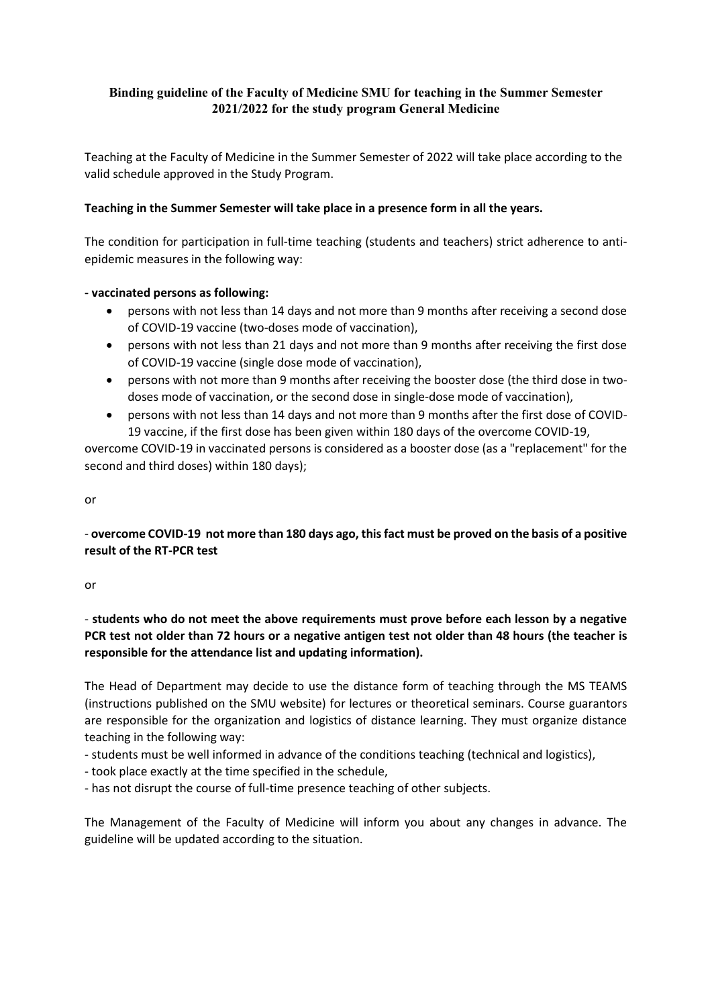### **Binding guideline of the Faculty of Medicine SMU for teaching in the Summer Semester 2021/2022 for the study program General Medicine**

Teaching at the Faculty of Medicine in the Summer Semester of 2022 will take place according to the valid schedule approved in the Study Program.

#### **Teaching in the Summer Semester will take place in a presence form in all the years.**

The condition for participation in full-time teaching (students and teachers) strict adherence to antiepidemic measures in the following way:

#### **- vaccinated persons as following:**

- persons with not less than 14 days and not more than 9 months after receiving a second dose of COVID-19 vaccine (two-doses mode of vaccination),
- persons with not less than 21 days and not more than 9 months after receiving the first dose of COVID-19 vaccine (single dose mode of vaccination),
- persons with not more than 9 months after receiving the booster dose (the third dose in twodoses mode of vaccination, or the second dose in single-dose mode of vaccination),
- persons with not less than 14 days and not more than 9 months after the first dose of COVID-19 vaccine, if the first dose has been given within 180 days of the overcome COVID-19,

overcome COVID-19 in vaccinated persons is considered as a booster dose (as a "replacement" for the second and third doses) within 180 days);

or

## - **overcome COVID-19 not more than 180 days ago, this fact must be proved on the basis of a positive result of the RT-PCR test**

or

# - **students who do not meet the above requirements must prove before each lesson by a negative PCR test not older than 72 hours or a negative antigen test not older than 48 hours (the teacher is responsible for the attendance list and updating information).**

The Head of Department may decide to use the distance form of teaching through the MS TEAMS (instructions published on the SMU website) for lectures or theoretical seminars. Course guarantors are responsible for the organization and logistics of distance learning. They must organize distance teaching in the following way:

- students must be well informed in advance of the conditions teaching (technical and logistics),
- took place exactly at the time specified in the schedule,
- has not disrupt the course of full-time presence teaching of other subjects.

The Management of the Faculty of Medicine will inform you about any changes in advance. The guideline will be updated according to the situation.